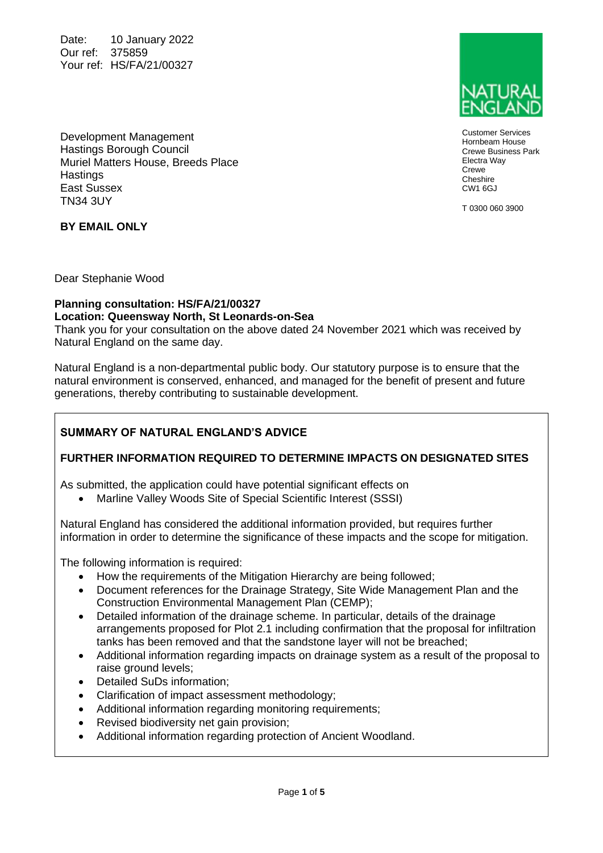Date: 10 January 2022 Our ref: 375859 Your ref: HS/FA/21/00327



Customer Services Hornbeam House Crewe Business Park Electra Way Crewe Cheshire CW1 6GJ

T 0300 060 3900

Development Management Hastings Borough Council Muriel Matters House, Breeds Place **Hastings** East Sussex TN34 3UY

**BY EMAIL ONLY**

Dear Stephanie Wood

#### **Planning consultation: HS/FA/21/00327 Location: Queensway North, St Leonards-on-Sea**

Thank you for your consultation on the above dated 24 November 2021 which was received by Natural England on the same day.

Natural England is a non-departmental public body. Our statutory purpose is to ensure that the natural environment is conserved, enhanced, and managed for the benefit of present and future generations, thereby contributing to sustainable development.

# **SUMMARY OF NATURAL ENGLAND'S ADVICE**

## **FURTHER INFORMATION REQUIRED TO DETERMINE IMPACTS ON DESIGNATED SITES**

As submitted, the application could have potential significant effects on

• Marline Valley Woods Site of Special Scientific Interest (SSSI)

Natural England has considered the additional information provided, but requires further information in order to determine the significance of these impacts and the scope for mitigation.

The following information is required:

- How the requirements of the Mitigation Hierarchy are being followed;
- Document references for the Drainage Strategy, Site Wide Management Plan and the Construction Environmental Management Plan (CEMP);
- Detailed information of the drainage scheme. In particular, details of the drainage arrangements proposed for Plot 2.1 including confirmation that the proposal for infiltration tanks has been removed and that the sandstone layer will not be breached;
- Additional information regarding impacts on drainage system as a result of the proposal to raise ground levels;
- Detailed SuDs information;
- Clarification of impact assessment methodology;
- Additional information regarding monitoring requirements;
- Revised biodiversity net gain provision;
- Additional information regarding protection of Ancient Woodland.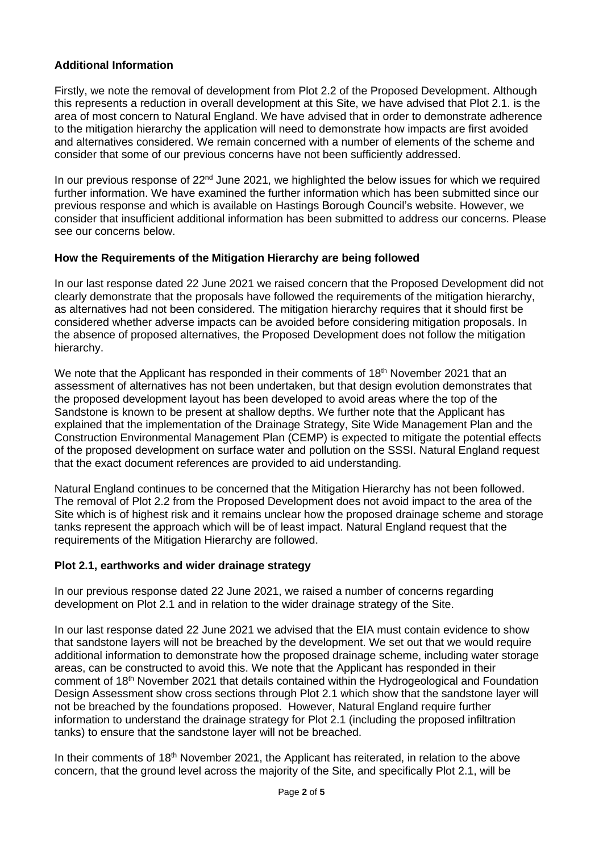## **Additional Information**

Firstly, we note the removal of development from Plot 2.2 of the Proposed Development. Although this represents a reduction in overall development at this Site, we have advised that Plot 2.1. is the area of most concern to Natural England. We have advised that in order to demonstrate adherence to the mitigation hierarchy the application will need to demonstrate how impacts are first avoided and alternatives considered. We remain concerned with a number of elements of the scheme and consider that some of our previous concerns have not been sufficiently addressed.

In our previous response of 22<sup>nd</sup> June 2021, we highlighted the below issues for which we required further information. We have examined the further information which has been submitted since our previous response and which is available on Hastings Borough Council's website. However, we consider that insufficient additional information has been submitted to address our concerns. Please see our concerns below.

## **How the Requirements of the Mitigation Hierarchy are being followed**

In our last response dated 22 June 2021 we raised concern that the Proposed Development did not clearly demonstrate that the proposals have followed the requirements of the mitigation hierarchy, as alternatives had not been considered. The mitigation hierarchy requires that it should first be considered whether adverse impacts can be avoided before considering mitigation proposals. In the absence of proposed alternatives, the Proposed Development does not follow the mitigation hierarchy.

We note that the Applicant has responded in their comments of 18<sup>th</sup> November 2021 that an assessment of alternatives has not been undertaken, but that design evolution demonstrates that the proposed development layout has been developed to avoid areas where the top of the Sandstone is known to be present at shallow depths. We further note that the Applicant has explained that the implementation of the Drainage Strategy, Site Wide Management Plan and the Construction Environmental Management Plan (CEMP) is expected to mitigate the potential effects of the proposed development on surface water and pollution on the SSSI. Natural England request that the exact document references are provided to aid understanding.

Natural England continues to be concerned that the Mitigation Hierarchy has not been followed. The removal of Plot 2.2 from the Proposed Development does not avoid impact to the area of the Site which is of highest risk and it remains unclear how the proposed drainage scheme and storage tanks represent the approach which will be of least impact. Natural England request that the requirements of the Mitigation Hierarchy are followed.

## **Plot 2.1, earthworks and wider drainage strategy**

In our previous response dated 22 June 2021, we raised a number of concerns regarding development on Plot 2.1 and in relation to the wider drainage strategy of the Site.

In our last response dated 22 June 2021 we advised that the EIA must contain evidence to show that sandstone layers will not be breached by the development. We set out that we would require additional information to demonstrate how the proposed drainage scheme, including water storage areas, can be constructed to avoid this. We note that the Applicant has responded in their comment of 18th November 2021 that details contained within the Hydrogeological and Foundation Design Assessment show cross sections through Plot 2.1 which show that the sandstone layer will not be breached by the foundations proposed. However, Natural England require further information to understand the drainage strategy for Plot 2.1 (including the proposed infiltration tanks) to ensure that the sandstone layer will not be breached.

In their comments of 18<sup>th</sup> November 2021, the Applicant has reiterated, in relation to the above concern, that the ground level across the majority of the Site, and specifically Plot 2.1, will be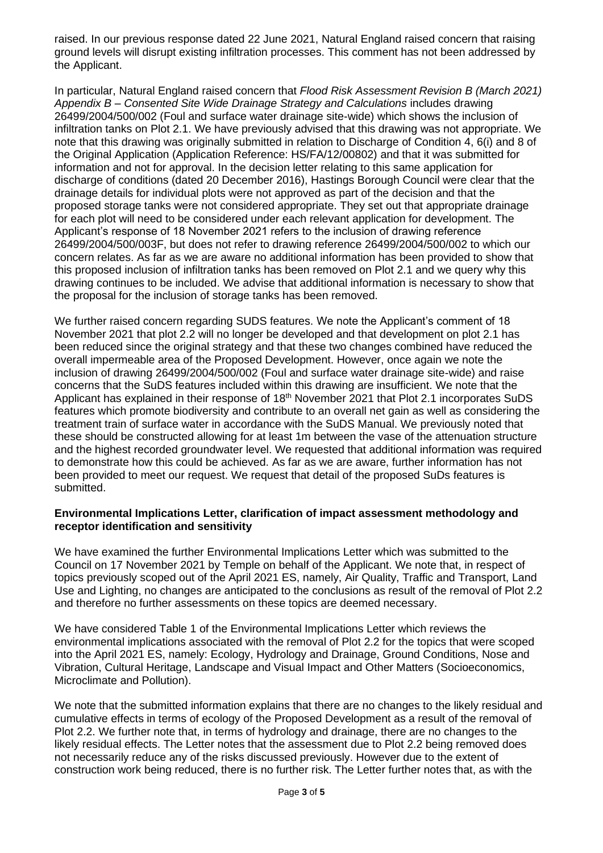raised. In our previous response dated 22 June 2021, Natural England raised concern that raising ground levels will disrupt existing infiltration processes. This comment has not been addressed by the Applicant.

In particular, Natural England raised concern that *Flood Risk Assessment Revision B (March 2021) Appendix B – Consented Site Wide Drainage Strategy and Calculations* includes drawing 26499/2004/500/002 (Foul and surface water drainage site-wide) which shows the inclusion of infiltration tanks on Plot 2.1. We have previously advised that this drawing was not appropriate. We note that this drawing was originally submitted in relation to Discharge of Condition 4, 6(i) and 8 of the Original Application (Application Reference: HS/FA/12/00802) and that it was submitted for information and not for approval. In the decision letter relating to this same application for discharge of conditions (dated 20 December 2016), Hastings Borough Council were clear that the drainage details for individual plots were not approved as part of the decision and that the proposed storage tanks were not considered appropriate. They set out that appropriate drainage for each plot will need to be considered under each relevant application for development. The Applicant's response of 18 November 2021 refers to the inclusion of drawing reference 26499/2004/500/003F, but does not refer to drawing reference 26499/2004/500/002 to which our concern relates. As far as we are aware no additional information has been provided to show that this proposed inclusion of infiltration tanks has been removed on Plot 2.1 and we query why this drawing continues to be included. We advise that additional information is necessary to show that the proposal for the inclusion of storage tanks has been removed.

We further raised concern regarding SUDS features. We note the Applicant's comment of 18 November 2021 that plot 2.2 will no longer be developed and that development on plot 2.1 has been reduced since the original strategy and that these two changes combined have reduced the overall impermeable area of the Proposed Development. However, once again we note the inclusion of drawing 26499/2004/500/002 (Foul and surface water drainage site-wide) and raise concerns that the SuDS features included within this drawing are insufficient. We note that the Applicant has explained in their response of 18<sup>th</sup> November 2021 that Plot 2.1 incorporates SuDS features which promote biodiversity and contribute to an overall net gain as well as considering the treatment train of surface water in accordance with the SuDS Manual. We previously noted that these should be constructed allowing for at least 1m between the vase of the attenuation structure and the highest recorded groundwater level. We requested that additional information was required to demonstrate how this could be achieved. As far as we are aware, further information has not been provided to meet our request. We request that detail of the proposed SuDs features is submitted.

#### **Environmental Implications Letter, clarification of impact assessment methodology and receptor identification and sensitivity**

We have examined the further Environmental Implications Letter which was submitted to the Council on 17 November 2021 by Temple on behalf of the Applicant. We note that, in respect of topics previously scoped out of the April 2021 ES, namely, Air Quality, Traffic and Transport, Land Use and Lighting, no changes are anticipated to the conclusions as result of the removal of Plot 2.2 and therefore no further assessments on these topics are deemed necessary.

We have considered Table 1 of the Environmental Implications Letter which reviews the environmental implications associated with the removal of Plot 2.2 for the topics that were scoped into the April 2021 ES, namely: Ecology, Hydrology and Drainage, Ground Conditions, Nose and Vibration, Cultural Heritage, Landscape and Visual Impact and Other Matters (Socioeconomics, Microclimate and Pollution).

We note that the submitted information explains that there are no changes to the likely residual and cumulative effects in terms of ecology of the Proposed Development as a result of the removal of Plot 2.2. We further note that, in terms of hydrology and drainage, there are no changes to the likely residual effects. The Letter notes that the assessment due to Plot 2.2 being removed does not necessarily reduce any of the risks discussed previously. However due to the extent of construction work being reduced, there is no further risk. The Letter further notes that, as with the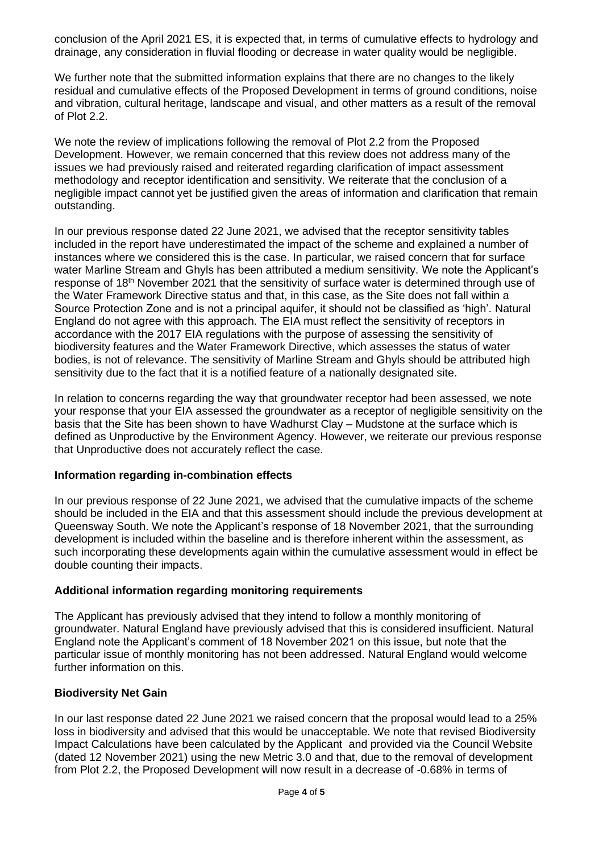conclusion of the April 2021 ES, it is expected that, in terms of cumulative effects to hydrology and drainage, any consideration in fluvial flooding or decrease in water quality would be negligible.

We further note that the submitted information explains that there are no changes to the likely residual and cumulative effects of the Proposed Development in terms of ground conditions, noise and vibration, cultural heritage, landscape and visual, and other matters as a result of the removal of Plot 2.2.

We note the review of implications following the removal of Plot 2.2 from the Proposed Development. However, we remain concerned that this review does not address many of the issues we had previously raised and reiterated regarding clarification of impact assessment methodology and receptor identification and sensitivity. We reiterate that the conclusion of a negligible impact cannot yet be justified given the areas of information and clarification that remain outstanding.

In our previous response dated 22 June 2021, we advised that the receptor sensitivity tables included in the report have underestimated the impact of the scheme and explained a number of instances where we considered this is the case. In particular, we raised concern that for surface water Marline Stream and Ghyls has been attributed a medium sensitivity. We note the Applicant's response of 18<sup>th</sup> November 2021 that the sensitivity of surface water is determined through use of the Water Framework Directive status and that, in this case, as the Site does not fall within a Source Protection Zone and is not a principal aquifer, it should not be classified as 'high'. Natural England do not agree with this approach. The EIA must reflect the sensitivity of receptors in accordance with the 2017 EIA regulations with the purpose of assessing the sensitivity of biodiversity features and the Water Framework Directive, which assesses the status of water bodies, is not of relevance. The sensitivity of Marline Stream and Ghyls should be attributed high sensitivity due to the fact that it is a notified feature of a nationally designated site.

In relation to concerns regarding the way that groundwater receptor had been assessed, we note your response that your EIA assessed the groundwater as a receptor of negligible sensitivity on the basis that the Site has been shown to have Wadhurst Clay – Mudstone at the surface which is defined as Unproductive by the Environment Agency. However, we reiterate our previous response that Unproductive does not accurately reflect the case.

#### **Information regarding in-combination effects**

In our previous response of 22 June 2021, we advised that the cumulative impacts of the scheme should be included in the EIA and that this assessment should include the previous development at Queensway South. We note the Applicant's response of 18 November 2021, that the surrounding development is included within the baseline and is therefore inherent within the assessment, as such incorporating these developments again within the cumulative assessment would in effect be double counting their impacts.

#### **Additional information regarding monitoring requirements**

The Applicant has previously advised that they intend to follow a monthly monitoring of groundwater. Natural England have previously advised that this is considered insufficient. Natural England note the Applicant's comment of 18 November 2021 on this issue, but note that the particular issue of monthly monitoring has not been addressed. Natural England would welcome further information on this.

#### **Biodiversity Net Gain**

In our last response dated 22 June 2021 we raised concern that the proposal would lead to a 25% loss in biodiversity and advised that this would be unacceptable. We note that revised Biodiversity Impact Calculations have been calculated by the Applicant and provided via the Council Website (dated 12 November 2021) using the new Metric 3.0 and that, due to the removal of development from Plot 2.2, the Proposed Development will now result in a decrease of -0.68% in terms of